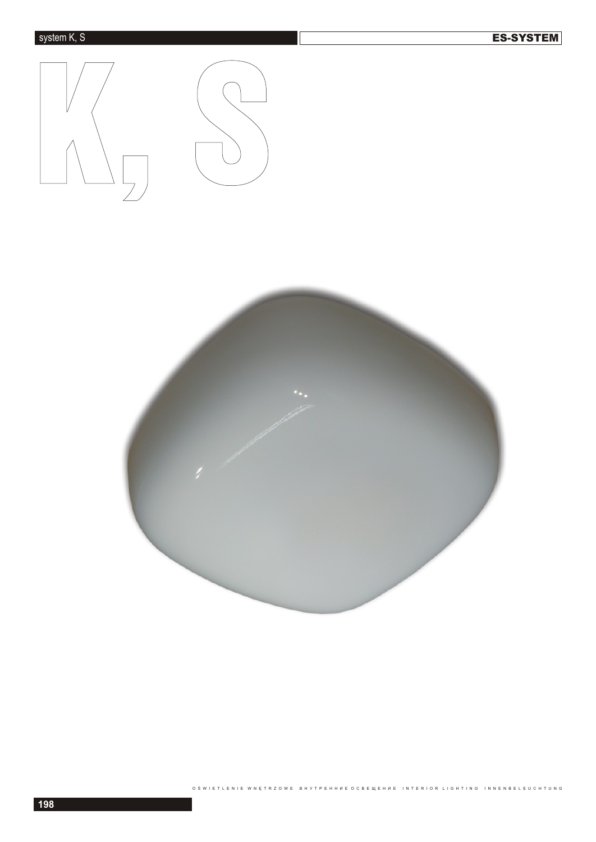



O ŚWIETLENIE W NĘTRZOWE BHYTPEHH WE O C BEЩEH WE INTERIOR LIGHTING INNENBELEUCHTUNG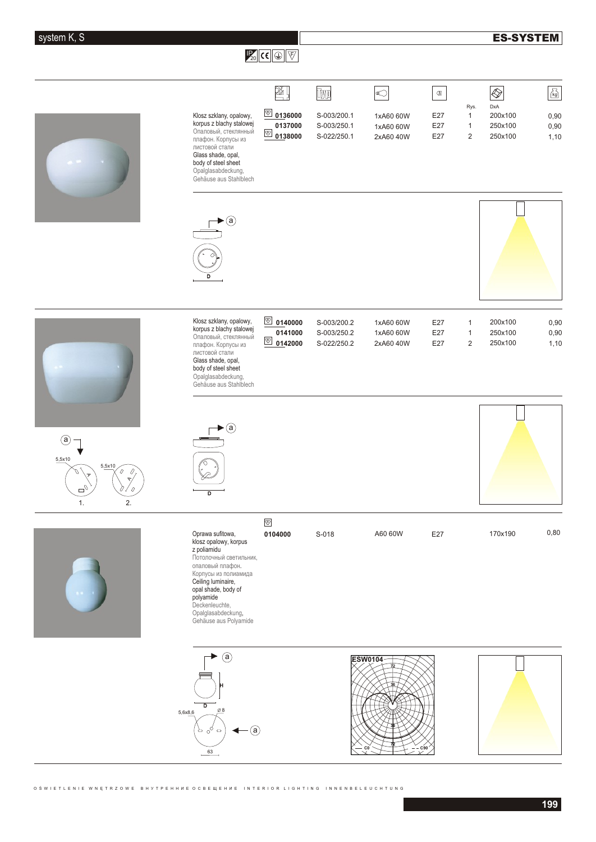## **ES-SYSTEM**

## $\mathbb{F}_{20}$  CC  $\mathbb{Q}$   $\mathbb{F}$   $\mathbb{F}$

|                                                                 |                                                                                                                                                                                                                                                           | 一                                                          | <u>Iwn</u>                                | €                                                  | $\mathbbmss{m}$   |                                             | $\bigotimes$                         | $\sqrt{\frac{1}{\log n}}$ |
|-----------------------------------------------------------------|-----------------------------------------------------------------------------------------------------------------------------------------------------------------------------------------------------------------------------------------------------------|------------------------------------------------------------|-------------------------------------------|----------------------------------------------------|-------------------|---------------------------------------------|--------------------------------------|---------------------------|
|                                                                 | Klosz szklany, opalowy,<br>korpus z blachy stalowej<br>Опаловый, стеклянный<br>плафон. Корпусы из<br>листовой стали<br>Glass shade, opal,<br>body of steel sheet<br>Opalglasabdeckung,<br>Gehäuse aus Stahlblech                                          | $\circledR$<br>0136000<br>0137000<br>$\frac{1}{2}$ 0138000 | S-003/200.1<br>S-003/250.1<br>S-022/250.1 | 1xA60 60W<br>1xA60 60W<br>2xA60 40W                | E27<br>E27<br>E27 | Rys.<br>$\mathbf{1}$<br>1<br>$\overline{2}$ | DxA<br>200x100<br>250x100<br>250x100 | 0,90<br>0,90<br>1,10      |
|                                                                 | $\cdot$ (a)                                                                                                                                                                                                                                               |                                                            |                                           |                                                    |                   |                                             |                                      |                           |
|                                                                 | Klosz szklany, opalowy,<br>korpus z blachy stalowej<br>Опаловый, стеклянный<br>плафон. Корпусы из<br>листовой стали<br>Glass shade, opal,<br>body of steel sheet<br>Opalglasabdeckung,<br>Gehäuse aus Stahlblech                                          | $\circledR$ 0140000<br>0141000                             | S-003/200.2<br>S-003/250.2<br>S-022/250.2 | 1xA60 60W<br>1xA60 60W<br>2xA60 40W                | E27<br>E27<br>E27 | 1<br>$\mathbf{1}$<br>$\overline{2}$         | 200x100<br>250x100<br>250x100        | 0,90<br>0,90<br>1,10      |
| (a<br>5,5x10<br>5,5x10<br>$\mathbb{C}^{\mathbb{O}}$<br>1.<br>2. | $\cdot$ (a)<br>D                                                                                                                                                                                                                                          |                                                            |                                           |                                                    |                   |                                             |                                      |                           |
|                                                                 | Oprawa sufitowa,<br>klosz opalowy, korpus<br>z poliamidu<br>Потолочный светильник,<br>опаловый плафон.<br>Корпусы из полиамида<br>Ceiling luminaire,<br>opal shade, body of<br>polyamide<br>Deckenleuchte,<br>Opalglasabdeckung,<br>Gehäuse aus Polyamide | $\textcircled{F}$<br>0104000                               | S-018                                     | A60 60W                                            | E27               |                                             | 170x190                              | 0,80                      |
|                                                                 | $\circled{a}$<br>D<br>$\underline{\emptyset\,8}$<br>5,6x8,6<br>$\circled{a}$<br>है °् न<br>63                                                                                                                                                             |                                                            |                                           | <b>ESW0104</b><br>72<br>36<br>$-c0$<br>$\check{~}$ | C90               |                                             |                                      |                           |

O ŚW I E T L E N I E W N Ę T R Z O W E B H Y T P E H H W E O C B E Щ E H W E I N T E R I OR L I G H T I N G IN N E N B E L E U C H T U N G